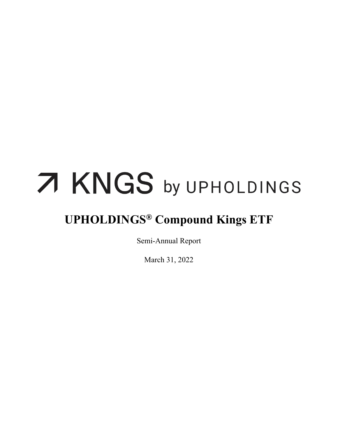# 7 KNGS by UPHOLDINGS

## **UPHOLDINGS® Compound Kings ETF**

Semi-Annual Report

March 31, 2022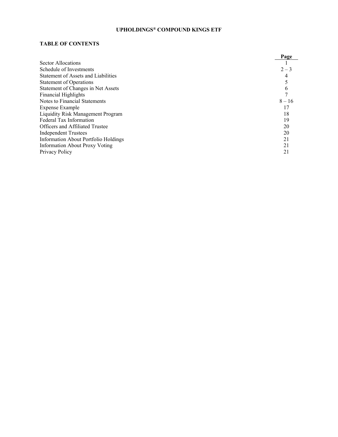#### **TABLE OF CONTENTS**

|                                             | Page     |
|---------------------------------------------|----------|
| Sector Allocations                          |          |
| Schedule of Investments                     | $2 - 3$  |
| Statement of Assets and Liabilities         |          |
| <b>Statement of Operations</b>              |          |
| Statement of Changes in Net Assets          |          |
| <b>Financial Highlights</b>                 |          |
| Notes to Financial Statements               | $8 - 16$ |
| Expense Example                             |          |
| <b>Liquidity Risk Management Program</b>    | 18       |
| Federal Tax Information                     | 19       |
| <b>Officers and Affiliated Trustee</b>      | 20       |
| <b>Independent Trustees</b>                 | 20       |
| <b>Information About Portfolio Holdings</b> | 21       |
| <b>Information About Proxy Voting</b>       |          |
| Privacy Policy                              | 21       |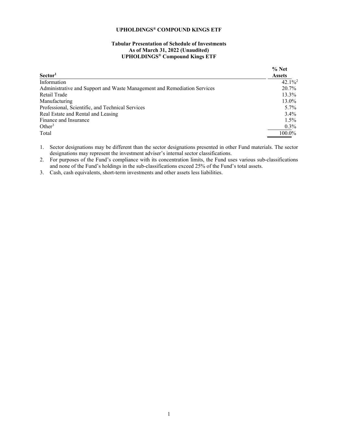#### **Tabular Presentation of Schedule of Investments As of March 31, 2022 (Unaudited) UPHOLDINGS® Compound Kings ETF**

<span id="page-2-0"></span>

|                                                                          | % Net                 |
|--------------------------------------------------------------------------|-----------------------|
| Sector <sup>1</sup>                                                      | <b>Assets</b>         |
| Information                                                              | $42.1\%$ <sup>2</sup> |
| Administrative and Support and Waste Management and Remediation Services | 20.7%                 |
| Retail Trade                                                             | 13.3%                 |
| Manufacturing                                                            | 13.0%                 |
| Professional, Scientific, and Technical Services                         | $5.7\%$               |
| Real Estate and Rental and Leasing                                       | $3.4\%$               |
| Finance and Insurance                                                    | $1.5\%$               |
| Other <sup>3</sup>                                                       | $0.3\%$               |
| Total                                                                    | 100.0%                |

1. Sector designations may be different than the sector designations presented in other Fund materials. The sector designations may represent the investment adviser's internal sector classifications.

2. For purposes of the Fund's compliance with its concentration limits, the Fund uses various sub-classifications and none of the Fund's holdings in the sub-classifications exceed 25% of the Fund's total assets.

3. Cash, cash equivalents, short-term investments and other assets less liabilities.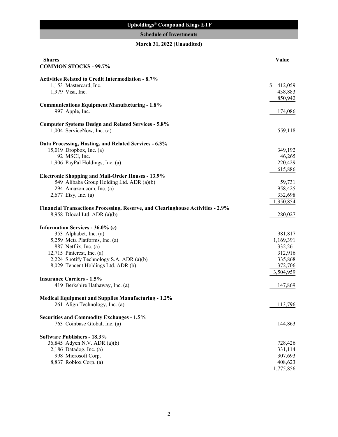#### **Upholdings® Compound Kings ETF**

### **Schedule of Investments**

#### **March 31, 2022 (Unaudited)**

<span id="page-3-0"></span>

| <b>Shares</b>                                                                            | Value         |
|------------------------------------------------------------------------------------------|---------------|
| <b>COMMON STOCKS - 99.7%</b>                                                             |               |
| <b>Activities Related to Credit Intermediation - 8.7%</b>                                |               |
| 1,153 Mastercard, Inc.                                                                   | S.<br>412,059 |
| 1,979 Visa, Inc.                                                                         | 438,883       |
|                                                                                          | 850,942       |
| <b>Communications Equipment Manufacturing - 1.8%</b>                                     |               |
| 997 Apple, Inc.                                                                          | 174,086       |
|                                                                                          |               |
| <b>Computer Systems Design and Related Services - 5.8%</b><br>1,004 ServiceNow, Inc. (a) | 559,118       |
|                                                                                          |               |
| Data Processing, Hosting, and Related Services - 6.3%                                    |               |
| 15,019 Dropbox, Inc. (a)                                                                 | 349,192       |
| 92 MSCI, Inc.                                                                            | 46,265        |
| 1,906 PayPal Holdings, Inc. (a)                                                          | 220,429       |
|                                                                                          | 615,886       |
| <b>Electronic Shopping and Mail-Order Houses - 13.9%</b>                                 |               |
| 549 Alibaba Group Holding Ltd. ADR (a)(b)                                                | 59,731        |
| 294 Amazon.com, Inc. (a)                                                                 | 958,425       |
| 2,677 Etsy, Inc. (a)                                                                     | 332,698       |
|                                                                                          | 1,350,854     |
| <b>Financial Transactions Processing, Reserve, and Clearinghouse Activities - 2.9%</b>   |               |
| 8,958 Dlocal Ltd. ADR (a)(b)                                                             | 280,027       |
| Information Services - 36.0% (c)                                                         |               |
| 353 Alphabet, Inc. (a)                                                                   | 981,817       |
| 5,259 Meta Platforms, Inc. (a)                                                           | 1,169,391     |
| 887 Netflix, Inc. (a)                                                                    | 332,261       |
| 12,715 Pinterest, Inc. (a)                                                               | 312,916       |
| 2,224 Spotify Technology S.A. ADR (a)(b)                                                 | 335,868       |
| 8,029 Tencent Holdings Ltd. ADR (b)                                                      | 372,706       |
|                                                                                          | 3,504,959     |
| <b>Insurance Carriers - 1.5%</b>                                                         |               |
| 419 Berkshire Hathaway, Inc. (a)                                                         | 147,869       |
|                                                                                          |               |
| <b>Medical Equipment and Supplies Manufacturing - 1.2%</b>                               |               |
| 261 Align Technology, Inc. (a)                                                           | 113,796       |
| <b>Securities and Commodity Exchanges - 1.5%</b>                                         |               |
| 763 Coinbase Global, Inc. (a)                                                            | 144,863       |
| <b>Software Publishers - 18.3%</b>                                                       |               |
| 36,845 Adyen N.V. ADR (a)(b)                                                             | 728,426       |
| $2,186$ Datadog, Inc. (a)                                                                | 331,114       |
| 998 Microsoft Corp.                                                                      | 307,693       |
| 8,837 Roblox Corp. (a)                                                                   | 408,623       |
|                                                                                          |               |
|                                                                                          | 1,775,856     |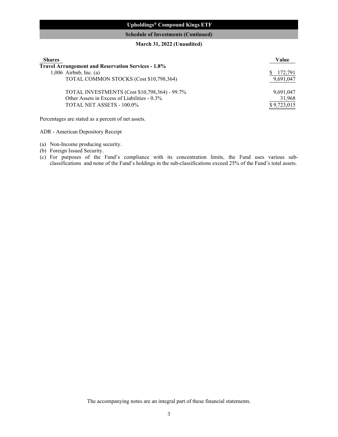#### **Upholdings® Compound Kings ETF**

#### **Schedule of Investments (Continued)**

#### **March 31, 2022 (Unaudited)**

| <b>Shares</b>                                             | Value       |
|-----------------------------------------------------------|-------------|
| <b>Travel Arrangement and Reservation Services - 1.8%</b> |             |
| $1,006$ Airbnb, Inc. (a)                                  | 172.791     |
| TOTAL COMMON STOCKS (Cost \$10,798,364)                   | 9,691,047   |
| TOTAL INVESTMENTS (Cost \$10,798,364) - 99.7%             | 9,691,047   |
| Other Assets in Excess of Liabilities - 0.3%              | 31,968      |
| TOTAL NET ASSETS - 100.0%                                 | \$9,723,015 |

Percentages are stated as a percent of net assets.

ADR - American Depository Receipt

- (a) Non-Income producing security.
- (b) Foreign Issued Security.
- (c) For purposes of the Fund's compliance with its concentration limits, the Fund uses various subclassifications and none of the Fund's holdings in the sub-classifications exceed 25% of the Fund's total assets.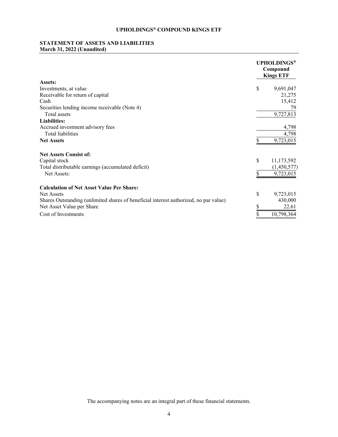#### <span id="page-5-0"></span>**STATEMENT OF ASSETS AND LIABILITIES March 31, 2022 (Unaudited)**

|                                                                                       |    | <b>UPHOLDINGS®</b><br>Compound<br><b>Kings ETF</b> |  |  |  |
|---------------------------------------------------------------------------------------|----|----------------------------------------------------|--|--|--|
| Assets:                                                                               |    |                                                    |  |  |  |
| Investments, at value                                                                 | \$ | 9,691,047                                          |  |  |  |
| Receivable for return of capital                                                      |    | 21,275                                             |  |  |  |
| Cash                                                                                  |    | 15,412                                             |  |  |  |
| Securities lending income receivable (Note 4)                                         |    | 79                                                 |  |  |  |
| Total assets                                                                          |    | 9,727,813                                          |  |  |  |
| <b>Liabilities:</b>                                                                   |    |                                                    |  |  |  |
| Accrued investment advisory fees                                                      |    | 4,798                                              |  |  |  |
| Total liabilities                                                                     |    | 4,798                                              |  |  |  |
| <b>Net Assets</b>                                                                     |    | 9,723,015                                          |  |  |  |
| <b>Net Assets Consist of:</b>                                                         |    |                                                    |  |  |  |
| Capital stock                                                                         | \$ | 11,173,592                                         |  |  |  |
| Total distributable earnings (accumulated deficit)                                    |    | (1,450,577)                                        |  |  |  |
| Net Assets:                                                                           |    | 9,723,015                                          |  |  |  |
| <b>Calculation of Net Asset Value Per Share:</b>                                      |    |                                                    |  |  |  |
| <b>Net Assets</b>                                                                     | \$ | 9,723,015                                          |  |  |  |
| Shares Outstanding (unlimited shares of beneficial interest authorized, no par value) |    | 430,000                                            |  |  |  |
| Net Asset Value per Share                                                             |    | 22.61                                              |  |  |  |
| Cost of Investments                                                                   |    | 10,798,364                                         |  |  |  |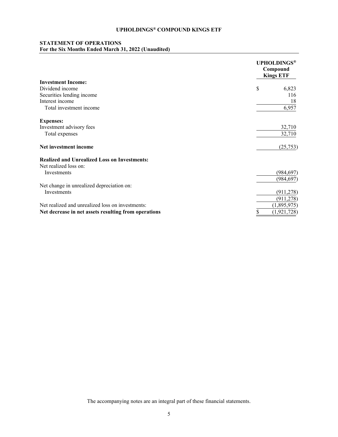#### <span id="page-6-0"></span>**STATEMENT OF OPERATIONS For the Six Months Ended March 31, 2022 (Unaudited)**

|                                                      | <b>UPHOLDINGS®</b><br>Compound<br><b>Kings ETF</b> |
|------------------------------------------------------|----------------------------------------------------|
| <b>Investment Income:</b>                            |                                                    |
| Dividend income                                      | \$<br>6,823                                        |
| Securities lending income                            | 116                                                |
| Interest income                                      | 18                                                 |
| Total investment income                              | 6,957                                              |
| <b>Expenses:</b>                                     |                                                    |
| Investment advisory fees                             | 32,710                                             |
| Total expenses                                       | 32,710                                             |
| Net investment income                                | (25,753)                                           |
| <b>Realized and Unrealized Loss on Investments:</b>  |                                                    |
| Net realized loss on:                                |                                                    |
| Investments                                          | (984, 697)                                         |
|                                                      | (984, 697)                                         |
| Net change in unrealized depreciation on:            |                                                    |
| Investments                                          | (911, 278)                                         |
|                                                      | (911, 278)                                         |
| Net realized and unrealized loss on investments:     | (1,895,975)                                        |
| Net decrease in net assets resulting from operations | \$<br>(1, 921, 728)                                |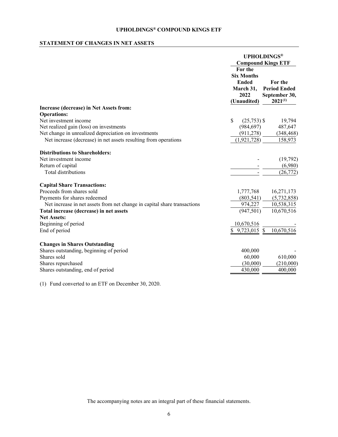#### <span id="page-7-0"></span>**STATEMENT OF CHANGES IN NET ASSETS**

|                                                                          |    |                                                                                  | <b>UPHOLDINGS®</b><br><b>Compound Kings ETF</b>                 |
|--------------------------------------------------------------------------|----|----------------------------------------------------------------------------------|-----------------------------------------------------------------|
|                                                                          |    | For the<br><b>Six Months</b><br><b>Ended</b><br>March 31,<br>2022<br>(Unaudited) | For the<br><b>Period Ended</b><br>September 30,<br>$2021^{(1)}$ |
| Increase (decrease) in Net Assets from:                                  |    |                                                                                  |                                                                 |
| <b>Operations:</b>                                                       |    |                                                                                  |                                                                 |
| Net investment income                                                    | \$ | $(25,753)$ \$                                                                    | 19,794                                                          |
| Net realized gain (loss) on investments                                  |    | (984, 697)                                                                       | 487,647                                                         |
| Net change in unrealized depreciation on investments                     |    | (911, 278)                                                                       | (348, 468)                                                      |
| Net increase (decrease) in net assets resulting from operations          |    | (1,921,728)                                                                      | 158,973                                                         |
| <b>Distributions to Shareholders:</b>                                    |    |                                                                                  |                                                                 |
| Net investment income                                                    |    |                                                                                  | (19,792)                                                        |
| Return of capital                                                        |    |                                                                                  | (6,980)                                                         |
| Total distributions                                                      |    |                                                                                  | (26, 772)                                                       |
| <b>Capital Share Transactions:</b>                                       |    |                                                                                  |                                                                 |
| Proceeds from shares sold                                                |    | 1,777,768                                                                        | 16,271,173                                                      |
| Payments for shares redeemed                                             |    | (803, 541)                                                                       | (5,732,858)                                                     |
| Net increase in net assets from net change in capital share transactions |    | 974,227                                                                          | 10,538,315                                                      |
| Total increase (decrease) in net assets                                  |    | (947, 501)                                                                       | 10,670,516                                                      |
| <b>Net Assets:</b>                                                       |    |                                                                                  |                                                                 |
| Beginning of period                                                      |    | 10,670,516                                                                       |                                                                 |
| End of period                                                            | \$ | 9,723,015 \$                                                                     | 10,670,516                                                      |
| <b>Changes in Shares Outstanding</b>                                     |    |                                                                                  |                                                                 |
| Shares outstanding, beginning of period                                  |    | 400,000                                                                          |                                                                 |
| Shares sold                                                              |    | 60,000                                                                           | 610,000                                                         |
| Shares repurchased                                                       |    | (30,000)                                                                         | (210,000)                                                       |
| Shares outstanding, end of period                                        |    | 430,000                                                                          | 400,000                                                         |
|                                                                          |    |                                                                                  |                                                                 |

(1) Fund converted to an ETF on December 30, 2020.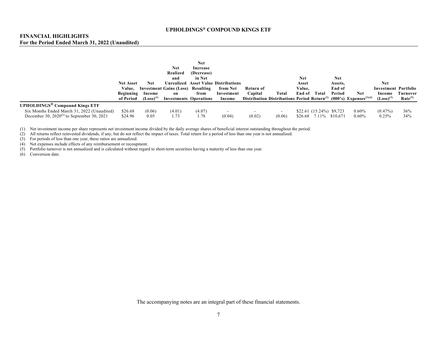#### **FINANCIAL HIGHLIGHTS For the Period Ended March 31, 2022 (Unaudited)**

|                                                                                                                                                    |                                                      |                                 | Net<br>Realized                                                                        | <b>Net</b><br>Increase<br>(Decrease) |                                                                                 |                      |                                                                                                     |                                  |                                              |                                           |                      |                                                                |                                        |
|----------------------------------------------------------------------------------------------------------------------------------------------------|------------------------------------------------------|---------------------------------|----------------------------------------------------------------------------------------|--------------------------------------|---------------------------------------------------------------------------------|----------------------|-----------------------------------------------------------------------------------------------------|----------------------------------|----------------------------------------------|-------------------------------------------|----------------------|----------------------------------------------------------------|----------------------------------------|
|                                                                                                                                                    | <b>Net Asset</b><br>Value.<br>Beginning<br>of Period | Net<br>Income<br>$(Loss)^{(1)}$ | and<br><b>Investment Gains (Loss) Resulting</b><br>on<br><b>Investments Operations</b> | in Net<br>from                       | <b>Unrealized Asset Value Distributions</b><br>from Net<br>Investment<br>Income | Return of<br>Capital | Total<br>Distribution Distributions Period Return <sup>(2)</sup> (000's) Expenses <sup>(3)(4)</sup> | Net<br>Asset<br>Value.<br>End of | Total                                        | <b>Net</b><br>Assets,<br>End of<br>Period | <b>Net</b>           | <b>Net</b><br>Investment Portfolio<br>Income<br>$(Loss)^{(3)}$ | <b>Turnover</b><br>Rate <sup>(5)</sup> |
| <b>UPHOLDINGS<sup>®</sup></b> Compound Kings ETF<br>Six Months Ended March 31, 2022 (Unaudited)<br>December 30, $2020^{(6)}$ to September 30, 2021 | \$26.68<br>\$24.96                                   | (0.06)<br>0.05                  | (4.01)<br>1.73                                                                         | (4.07)<br>1.78                       | (0.04)                                                                          | (0.02)               | (0.06)                                                                                              |                                  | $$22.61$ (15.24%) \$9,723<br>$$26.68$ 7.11\% | \$10.671                                  | $0.60\%$<br>$0.60\%$ | $(0.47\%)$<br>0.25%                                            | 36%<br>34%                             |

(1) Net investment income per share represents net investment income divided by the daily average shares of beneficial interest outstanding throughout the period.

<span id="page-8-0"></span>(2) All returns reflect reinvested dividends, if any, but do not reflect the impact of taxes. Total return for a period of less than one year is not annualized.

(3) For periods of less than one year, these ratios are annualized.

(4) Net expenses include effects of any reimbursement or recoupment.

 $(5)$  Portfolio turnover is not annualized and is calculated without regard to short-term securities having a maturity of less than one year.<br> $(6)$  Conversion date.

Conversion date.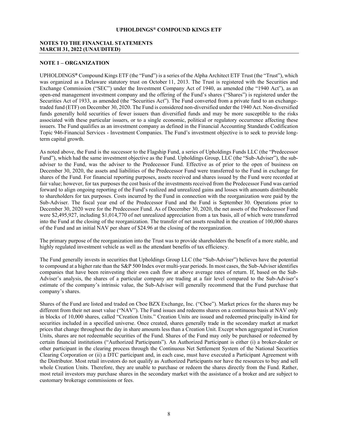#### <span id="page-9-0"></span>**NOTES TO THE FINANCIAL STATEMENTS MARCH 31, 2022 (UNAUDITED)**

#### **NOTE 1 – ORGANIZATION**

UPHOLDINGS**®** Compound Kings ETF (the "Fund") is a series of the Alpha Architect ETF Trust (the "Trust"), which was organized as a Delaware statutory trust on October 11, 2013. The Trust is registered with the Securities and Exchange Commission ("SEC") under the Investment Company Act of 1940, as amended (the "1940 Act"), as an open-end management investment company and the offering of the Fund's shares ("Shares") is registered under the Securities Act of 1933, as amended (the "Securities Act"). The Fund converted from a private fund to an exchangetraded fund (ETF) on December 30, 2020. The Fund is considered non-diversified under the 1940 Act. Non-diversified funds generally hold securities of fewer issuers than diversified funds and may be more susceptible to the risks associated with these particular issuers, or to a single economic, political or regulatory occurrence affecting these issuers. The Fund qualifies as an investment company as defined in the Financial Accounting Standards Codification Topic 946-Financial Services - Investment Companies. The Fund's investment objective is to seek to provide longterm capital growth.

As noted above, the Fund is the successor to the Flagship Fund, a series of Upholdings Funds LLC (the "Predecessor Fund"), which had the same investment objective as the Fund. Upholdings Group, LLC (the "Sub-Adviser"), the subadviser to the Fund, was the adviser to the Predecessor Fund. Effective as of prior to the open of business on December 30, 2020, the assets and liabilities of the Predecessor Fund were transferred to the Fund in exchange for shares of the Fund. For financial reporting purposes, assets received and shares issued by the Fund were recorded at fair value; however, for tax purposes the cost basis of the investments received from the Predecessor Fund was carried forward to align ongoing reporting of the Fund's realized and unrealized gains and losses with amounts distributable to shareholders for tax purposes. Costs incurred by the Fund in connection with the reorganization were paid by the Sub-Adviser. The fiscal year end of the Predecessor Fund and the Fund is September 30. Operations prior to December 30, 2020 were for the Predecessor Fund. As of December 30, 2020, the net assets of the Predecessor Fund were \$2,495,927, including \$1,014,770 of net unrealized appreciation from a tax basis, all of which were transferred into the Fund at the closing of the reorganization. The transfer of net assets resulted in the creation of 100,000 shares of the Fund and an initial NAV per share of \$24.96 at the closing of the reorganization.

The primary purpose of the reorganization into the Trust was to provide shareholders the benefit of a more stable, and highly regulated investment vehicle as well as the attendant benefits of tax efficiency.

The Fund generally invests in securities that Upholdings Group LLC (the "Sub-Adviser") believes have the potential to compound at a higher rate than the S&P 500 Index over multi-year periods. In most cases, the Sub-Adviser identifies companies that have been reinvesting their own cash flow at above average rates of return. If, based on the Sub-Adviser's analysis, the shares of a particular company are trading at a fair level compared to the Sub-Adviser's estimate of the company's intrinsic value, the Sub-Adviser will generally recommend that the Fund purchase that company's shares.

Shares of the Fund are listed and traded on Cboe BZX Exchange, Inc. ("Cboe"). Market prices for the shares may be different from their net asset value ("NAV"). The Fund issues and redeems shares on a continuous basis at NAV only in blocks of 10,000 shares, called "Creation Units." Creation Units are issued and redeemed principally in-kind for securities included in a specified universe. Once created, shares generally trade in the secondary market at market prices that change throughout the day in share amounts less than a Creation Unit. Except when aggregated in Creation Units, shares are not redeemable securities of the Fund. Shares of the Fund may only be purchased or redeemed by certain financial institutions ("Authorized Participants"). An Authorized Participant is either (i) a broker-dealer or other participant in the clearing process through the Continuous Net Settlement System of the National Securities Clearing Corporation or (ii) a DTC participant and, in each case, must have executed a Participant Agreement with the Distributor. Most retail investors do not qualify as Authorized Participants nor have the resources to buy and sell whole Creation Units. Therefore, they are unable to purchase or redeem the shares directly from the Fund. Rather, most retail investors may purchase shares in the secondary market with the assistance of a broker and are subject to customary brokerage commissions or fees.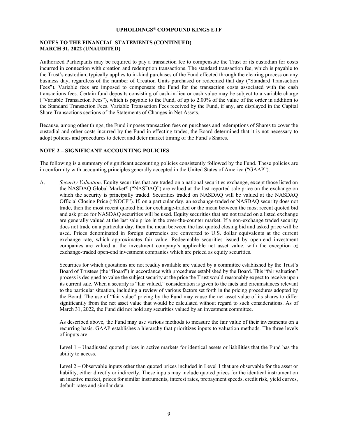#### **NOTES TO THE FINANCIAL STATEMENTS (CONTINUED) MARCH 31, 2022 (UNAUDITED)**

Authorized Participants may be required to pay a transaction fee to compensate the Trust or its custodian for costs incurred in connection with creation and redemption transactions. The standard transaction fee, which is payable to the Trust's custodian, typically applies to in-kind purchases of the Fund effected through the clearing process on any business day, regardless of the number of Creation Units purchased or redeemed that day ("Standard Transaction Fees"). Variable fees are imposed to compensate the Fund for the transaction costs associated with the cash transactions fees. Certain fund deposits consisting of cash-in-lieu or cash value may be subject to a variable charge ("Variable Transaction Fees"), which is payable to the Fund, of up to 2.00% of the value of the order in addition to the Standard Transaction Fees. Variable Transaction Fees received by the Fund, if any, are displayed in the Capital Share Transactions sections of the Statements of Changes in Net Assets.

Because, among other things, the Fund imposes transaction fees on purchases and redemptions of Shares to cover the custodial and other costs incurred by the Fund in effecting trades, the Board determined that it is not necessary to adopt policies and procedures to detect and deter market timing of the Fund's Shares.

#### **NOTE 2 – SIGNIFICANT ACCOUNTING POLICIES**

The following is a summary of significant accounting policies consistently followed by the Fund. These policies are in conformity with accounting principles generally accepted in the United States of America ("GAAP").

A. *Security Valuation*. Equity securities that are traded on a national securities exchange, except those listed on the NASDAQ Global Market® ("NASDAQ") are valued at the last reported sale price on the exchange on which the security is principally traded. Securities traded on NASDAQ will be valued at the NASDAQ Official Closing Price ("NOCP"). If, on a particular day, an exchange-traded or NASDAQ security does not trade, then the most recent quoted bid for exchange-traded or the mean between the most recent quoted bid and ask price for NASDAQ securities will be used. Equity securities that are not traded on a listed exchange are generally valued at the last sale price in the over-the-counter market. If a non-exchange traded security does not trade on a particular day, then the mean between the last quoted closing bid and asked price will be used. Prices denominated in foreign currencies are converted to U.S. dollar equivalents at the current exchange rate, which approximates fair value. Redeemable securities issued by open-end investment companies are valued at the investment company's applicable net asset value, with the exception of exchange-traded open-end investment companies which are priced as equity securities.

Securities for which quotations are not readily available are valued by a committee established by the Trust's Board of Trustees (the "Board") in accordance with procedures established by the Board. This "fair valuation" process is designed to value the subject security at the price the Trust would reasonably expect to receive upon its current sale. When a security is "fair valued," consideration is given to the facts and circumstances relevant to the particular situation, including a review of various factors set forth in the pricing procedures adopted by the Board. The use of "fair value" pricing by the Fund may cause the net asset value of its shares to differ significantly from the net asset value that would be calculated without regard to such considerations. As of March 31, 2022, the Fund did not hold any securities valued by an investment committee.

As described above, the Fund may use various methods to measure the fair value of their investments on a recurring basis. GAAP establishes a hierarchy that prioritizes inputs to valuation methods. The three levels of inputs are:

Level 1 – Unadjusted quoted prices in active markets for identical assets or liabilities that the Fund has the ability to access.

Level 2 – Observable inputs other than quoted prices included in Level 1 that are observable for the asset or liability, either directly or indirectly. These inputs may include quoted prices for the identical instrument on an inactive market, prices for similar instruments, interest rates, prepayment speeds, credit risk, yield curves, default rates and similar data.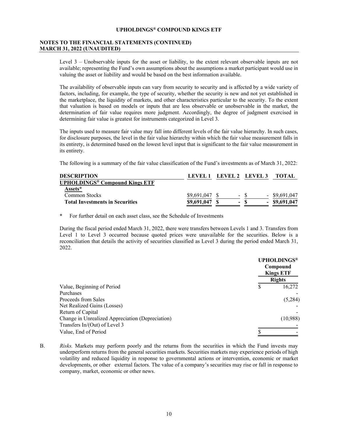#### **NOTES TO THE FINANCIAL STATEMENTS (CONTINUED) MARCH 31, 2022 (UNAUDITED)**

Level 3 – Unobservable inputs for the asset or liability, to the extent relevant observable inputs are not available; representing the Fund's own assumptions about the assumptions a market participant would use in valuing the asset or liability and would be based on the best information available.

The availability of observable inputs can vary from security to security and is affected by a wide variety of factors, including, for example, the type of security, whether the security is new and not yet established in the marketplace, the liquidity of markets, and other characteristics particular to the security. To the extent that valuation is based on models or inputs that are less observable or unobservable in the market, the determination of fair value requires more judgment. Accordingly, the degree of judgment exercised in determining fair value is greatest for instruments categorized in Level 3.

The inputs used to measure fair value may fall into different levels of the fair value hierarchy. In such cases, for disclosure purposes, the level in the fair value hierarchy within which the fair value measurement falls in its entirety, is determined based on the lowest level input that is significant to the fair value measurement in its entirety.

The following is a summary of the fair value classification of the Fund's investments as of March 31, 2022:

| <b>DESCRIPTION</b>                               | LEVEL 1     |          | LEVEL 2 LEVEL 3 | TOTAL           |
|--------------------------------------------------|-------------|----------|-----------------|-----------------|
| <b>UPHOLDINGS<sup>®</sup> Compound Kings ETF</b> |             |          |                 |                 |
| Assets*                                          |             |          |                 |                 |
| Common Stocks                                    | \$9,691,047 | $\sim$   |                 | $-$ \$9.691,047 |
| <b>Total Investments in Securities</b>           | \$9,691,047 | $\equiv$ |                 | $-$ \$9,691,047 |

\* For further detail on each asset class, see the Schedule of Investments

During the fiscal period ended March 31, 2022, there were transfers between Levels 1 and 3. Transfers from Level 1 to Level 3 occurred because quoted prices were unavailable for the securities. Below is a reconciliation that details the activity of securities classified as Level 3 during the period ended March 31, 2022.

|                                                  | <b>UPHOLDINGS®</b><br>Compound<br><b>Kings ETF</b><br><b>Rights</b> |  |  |
|--------------------------------------------------|---------------------------------------------------------------------|--|--|
| Value, Beginning of Period                       | 16,272<br>S                                                         |  |  |
| Purchases                                        |                                                                     |  |  |
| Proceeds from Sales                              | (5,284)                                                             |  |  |
| Net Realized Gains (Losses)                      |                                                                     |  |  |
| Return of Capital                                |                                                                     |  |  |
| Change in Unrealized Appreciation (Depreciation) | (10,988)                                                            |  |  |
| Transfers In/(Out) of Level 3                    |                                                                     |  |  |
| Value, End of Period                             |                                                                     |  |  |

B. *Risks.* Markets may perform poorly and the returns from the securities in which the Fund invests may underperform returns from the general securities markets. Securities markets may experience periods of high volatility and reduced liquidity in response to governmental actions or intervention, economic or market developments, or other external factors. The value of a company's securities may rise or fall in response to company, market, economic or other news.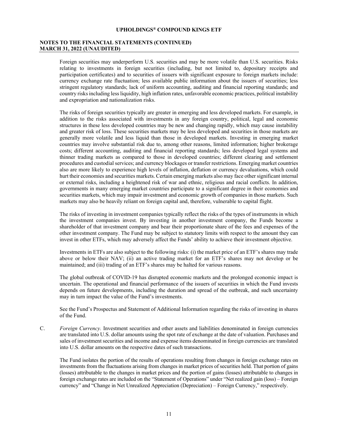#### **NOTES TO THE FINANCIAL STATEMENTS (CONTINUED) MARCH 31, 2022 (UNAUDITED)**

Foreign securities may underperform U.S. securities and may be more volatile than U.S. securities. Risks relating to investments in foreign securities (including, but not limited to, depositary receipts and participation certificates) and to securities of issuers with significant exposure to foreign markets include: currency exchange rate fluctuation; less available public information about the issuers of securities; less stringent regulatory standards; lack of uniform accounting, auditing and financial reporting standards; and country risks including less liquidity, high inflation rates, unfavorable economic practices, political instability and expropriation and nationalization risks.

The risks of foreign securities typically are greater in emerging and less developed markets. For example, in addition to the risks associated with investments in any foreign country, political, legal and economic structures in these less developed countries may be new and changing rapidly, which may cause instability and greater risk of loss. These securities markets may be less developed and securities in those markets are generally more volatile and less liquid than those in developed markets. Investing in emerging market countries may involve substantial risk due to, among other reasons, limited information; higher brokerage costs; different accounting, auditing and financial reporting standards; less developed legal systems and thinner trading markets as compared to those in developed countries; different clearing and settlement procedures and custodial services; and currency blockages or transfer restrictions. Emerging market countries also are more likely to experience high levels of inflation, deflation or currency devaluations, which could hurt their economies and securities markets. Certain emerging markets also may face other significant internal or external risks, including a heightened risk of war and ethnic, religious and racial conflicts. In addition, governments in many emerging market countries participate to a significant degree in their economies and securities markets, which may impair investment and economic growth of companies in those markets. Such markets may also be heavily reliant on foreign capital and, therefore, vulnerable to capital flight.

The risks of investing in investment companies typically reflect the risks of the types of instruments in which the investment companies invest. By investing in another investment company, the Funds become a shareholder of that investment company and bear their proportionate share of the fees and expenses of the other investment company. The Fund may be subject to statutory limits with respect to the amount they can invest in other ETFs, which may adversely affect the Funds' ability to achieve their investment objective.

Investments in ETFs are also subject to the following risks: (i) the market price of an ETF's shares may trade above or below their NAV; (ii) an active trading market for an ETF's shares may not develop or be maintained; and (iii) trading of an ETF's shares may be halted for various reasons.

The global outbreak of COVID-19 has disrupted economic markets and the prolonged economic impact is uncertain. The operational and financial performance of the issuers of securities in which the Fund invests depends on future developments, including the duration and spread of the outbreak, and such uncertainty may in turn impact the value of the Fund's investments.

See the Fund's Prospectus and Statement of Additional Information regarding the risks of investing in shares of the Fund.

C. *Foreign Currency.* Investment securities and other assets and liabilities denominated in foreign currencies are translated into U.S. dollar amounts using the spot rate of exchange at the date of valuation. Purchases and sales of investment securities and income and expense items denominated in foreign currencies are translated into U.S. dollar amounts on the respective dates of such transactions.

The Fund isolates the portion of the results of operations resulting from changes in foreign exchange rates on investments from the fluctuations arising from changes in market prices of securities held. That portion of gains (losses) attributable to the changes in market prices and the portion of gains (losses) attributable to changes in foreign exchange rates are included on the "Statement of Operations" under "Net realized gain (loss) – Foreign currency" and "Change in Net Unrealized Appreciation (Depreciation) – Foreign Currency," respectively.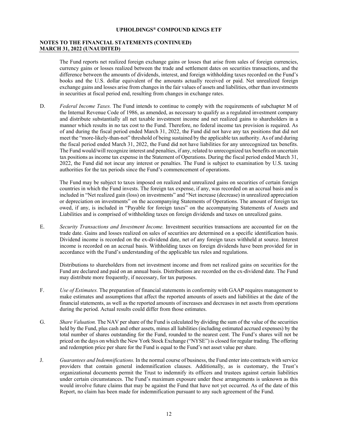#### **NOTES TO THE FINANCIAL STATEMENTS (CONTINUED) MARCH 31, 2022 (UNAUDITED)**

The Fund reports net realized foreign exchange gains or losses that arise from sales of foreign currencies, currency gains or losses realized between the trade and settlement dates on securities transactions, and the difference between the amounts of dividends, interest, and foreign withholding taxes recorded on the Fund's books and the U.S. dollar equivalent of the amounts actually received or paid. Net unrealized foreign exchange gains and losses arise from changes in the fair values of assets and liabilities, other than investments in securities at fiscal period end, resulting from changes in exchange rates.

D. *Federal Income Taxes.* The Fund intends to continue to comply with the requirements of subchapter M of the Internal Revenue Code of 1986, as amended, as necessary to qualify as a regulated investment company and distribute substantially all net taxable investment income and net realized gains to shareholders in a manner which results in no tax cost to the Fund. Therefore, no federal income tax provision is required. As of and during the fiscal period ended March 31, 2022, the Fund did not have any tax positions that did not meet the "more-likely-than-not" threshold of being sustained by the applicable tax authority. As of and during the fiscal period ended March 31, 2022, the Fund did not have liabilities for any unrecognized tax benefits. The Fund would/will recognize interest and penalties, if any, related to unrecognized tax benefits on uncertain tax positions as income tax expense in the Statement of Operations. During the fiscal period ended March 31, 2022, the Fund did not incur any interest or penalties. The Fund is subject to examination by U.S. taxing authorities for the tax periods since the Fund's commencement of operations.

The Fund may be subject to taxes imposed on realized and unrealized gains on securities of certain foreign countries in which the Fund invests. The foreign tax expense, if any, was recorded on an accrual basis and is included in "Net realized gain (loss) on investments" and "Net increase (decrease) in unrealized appreciation or depreciation on investments" on the accompanying Statements of Operations. The amount of foreign tax owed, if any, is included in "Payable for foreign taxes" on the accompanying Statements of Assets and Liabilities and is comprised of withholding taxes on foreign dividends and taxes on unrealized gains.

E. *Security Transactions and Investment Income.* Investment securities transactions are accounted for on the trade date. Gains and losses realized on sales of securities are determined on a specific identification basis. Dividend income is recorded on the ex-dividend date, net of any foreign taxes withheld at source. Interest income is recorded on an accrual basis. Withholding taxes on foreign dividends have been provided for in accordance with the Fund's understanding of the applicable tax rules and regulations.

Distributions to shareholders from net investment income and from net realized gains on securities for the Fund are declared and paid on an annual basis. Distributions are recorded on the ex-dividend date. The Fund may distribute more frequently, if necessary, for tax purposes.

- F. *Use of Estimates.* The preparation of financial statements in conformity with GAAP requires management to make estimates and assumptions that affect the reported amounts of assets and liabilities at the date of the financial statements, as well as the reported amounts of increases and decreases in net assets from operations during the period. Actual results could differ from those estimates.
- G. *Share Valuation.* The NAV per share of the Fund is calculated by dividing the sum of the value of the securities held by the Fund, plus cash and other assets, minus all liabilities (including estimated accrued expenses) by the total number of shares outstanding for the Fund, rounded to the nearest cent. The Fund's shares will not be priced on the days on which the New York Stock Exchange ("NYSE") is closed for regular trading. The offering and redemption price per share for the Fund is equal to the Fund's net asset value per share.
- J. *Guarantees and Indemnifications.* In the normal course of business, the Fund enter into contracts with service providers that contain general indemnification clauses. Additionally, as is customary, the Trust's organizational documents permit the Trust to indemnify its officers and trustees against certain liabilities under certain circumstances. The Fund's maximum exposure under these arrangements is unknown as this would involve future claims that may be against the Fund that have not yet occurred. As of the date of this Report, no claim has been made for indemnification pursuant to any such agreement of the Fund.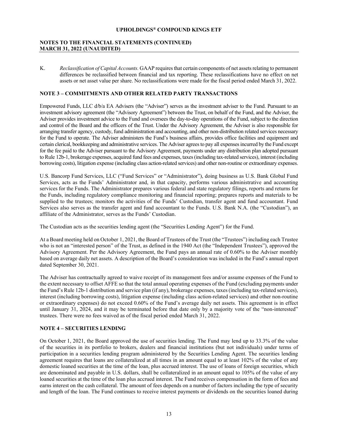#### **NOTES TO THE FINANCIAL STATEMENTS (CONTINUED) MARCH 31, 2022 (UNAUDITED)**

K. *Reclassification of Capital Accounts.* GAAP requires that certain components of net assets relating to permanent differences be reclassified between financial and tax reporting. These reclassifications have no effect on net assets or net asset value per share. No reclassifications were made for the fiscal period ended March 31, 2022.

#### **NOTE 3 – COMMITMENTS AND OTHER RELATED PARTY TRANSACTIONS**

Empowered Funds, LLC d/b/a EA Advisers (the "Adviser") serves as the investment adviser to the Fund. Pursuant to an investment advisory agreement (the "Advisory Agreement") between the Trust, on behalf of the Fund, and the Adviser, the Adviser provides investment advice to the Fund and oversees the day-to-day operations of the Fund, subject to the direction and control of the Board and the officers of the Trust. Under the Advisory Agreement, the Adviser is also responsible for arranging transfer agency, custody, fund administration and accounting, and other non-distribution related services necessary for the Fund to operate. The Adviser administers the Fund's business affairs, provides office facilities and equipment and certain clerical, bookkeeping and administrative services. The Adviser agrees to pay all expenses incurred by the Fund except for the fee paid to the Adviser pursuant to the Advisory Agreement, payments under any distribution plan adopted pursuant to Rule 12b-1, brokerage expenses, acquired fund fees and expenses, taxes (including tax-related services), interest (including borrowing costs), litigation expense (including class action-related services) and other non-routine or extraordinary expenses.

U.S. Bancorp Fund Services, LLC ("Fund Services" or "Administrator"), doing business as U.S. Bank Global Fund Services, acts as the Funds' Administrator and, in that capacity, performs various administrative and accounting services for the Funds. The Administrator prepares various federal and state regulatory filings, reports and returns for the Funds, including regulatory compliance monitoring and financial reporting; prepares reports and materials to be supplied to the trustees; monitors the activities of the Funds' Custodian, transfer agent and fund accountant. Fund Services also serves as the transfer agent and fund accountant to the Funds. U.S. Bank N.A. (the "Custodian"), an affiliate of the Administrator, serves as the Funds' Custodian.

The Custodian acts as the securities lending agent (the "Securities Lending Agent") for the Fund.

At a Board meeting held on October 1, 2021, the Board of Trustees of the Trust (the "Trustees") including each Trustee who is not an "interested person" of the Trust, as defined in the 1940 Act (the "Independent Trustees"), approved the Advisory Agreement. Per the Advisory Agreement, the Fund pays an annual rate of 0.60% to the Adviser monthly based on average daily net assets. A description of the Board's consideration was included in the Fund's annual report dated September 30, 2021.

The Adviser has contractually agreed to waive receipt of its management fees and/or assume expenses of the Fund to the extent necessary to offset AFFE so that the total annual operating expenses of the Fund (excluding payments under the Fund's Rule 12b-1 distribution and service plan (if any), brokerage expenses, taxes (including tax-related services), interest (including borrowing costs), litigation expense (including class action-related services) and other non-routine or extraordinary expenses) do not exceed 0.60% of the Fund's average daily net assets. This agreement is in effect until January 31, 2024, and it may be terminated before that date only by a majority vote of the "non-interested" trustees. There were no fees waived as of the fiscal period ended March 31, 2022.

#### **NOTE 4 – SECURITIES LENDING**

On October 1, 2021, the Board approved the use of securities lending. The Fund may lend up to 33.3% of the value of the securities in its portfolio to brokers, dealers and financial institutions (but not individuals) under terms of participation in a securities lending program administered by the Securities Lending Agent. The securities lending agreement requires that loans are collateralized at all times in an amount equal to at least 102% of the value of any domestic loaned securities at the time of the loan, plus accrued interest. The use of loans of foreign securities, which are denominated and payable in U.S. dollars, shall be collateralized in an amount equal to 105% of the value of any loaned securities at the time of the loan plus accrued interest. The Fund receives compensation in the form of fees and earns interest on the cash collateral. The amount of fees depends on a number of factors including the type of security and length of the loan. The Fund continues to receive interest payments or dividends on the securities loaned during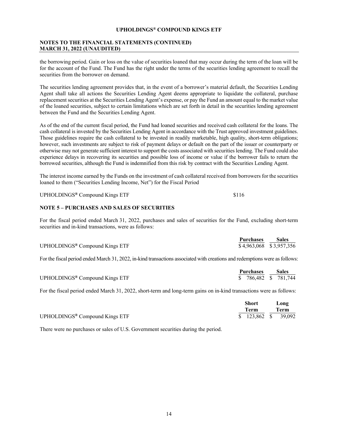#### **NOTES TO THE FINANCIAL STATEMENTS (CONTINUED) MARCH 31, 2022 (UNAUDITED)**

the borrowing period. Gain or loss on the value of securities loaned that may occur during the term of the loan will be for the account of the Fund. The Fund has the right under the terms of the securities lending agreement to recall the securities from the borrower on demand.

The securities lending agreement provides that, in the event of a borrower's material default, the Securities Lending Agent shall take all actions the Securities Lending Agent deems appropriate to liquidate the collateral, purchase replacement securities at the Securities Lending Agent's expense, or pay the Fund an amount equal to the market value of the loaned securities, subject to certain limitations which are set forth in detail in the securities lending agreement between the Fund and the Securities Lending Agent.

As of the end of the current fiscal period, the Fund had loaned securities and received cash collateral for the loans. The cash collateral is invested by the Securities Lending Agent in accordance with the Trust approved investment guidelines. Those guidelines require the cash collateral to be invested in readily marketable, high quality, short-term obligations; however, such investments are subject to risk of payment delays or default on the part of the issuer or counterparty or otherwise may not generate sufficient interest to support the costs associated with securities lending. The Fund could also experience delays in recovering its securities and possible loss of income or value if the borrower fails to return the borrowed securities, although the Fund is indemnified from this risk by contract with the Securities Lending Agent.

The interest income earned by the Funds on the investment of cash collateral received from borrowers for the securities loaned to them ("Securities Lending Income, Net") for the Fiscal Period

UPHOLDINGS<sup>®</sup> Compound Kings ETF \$116

#### **NOTE 5 – PURCHASES AND SALES OF SECURITIES**

For the fiscal period ended March 31, 2022, purchases and sales of securities for the Fund, excluding short-term securities and in-kind transactions, were as follows:

|                                            | <b>Purchases</b>        | <b>Sales</b> |
|--------------------------------------------|-------------------------|--------------|
| UPHOLDINGS <sup>®</sup> Compound Kings ETF | \$4,963,068 \$3,957,356 |              |

For the fiscal period ended March 31, 2022, in-kind transactions associated with creations and redemptions were as follows:

|                                            | Purchases             | <b>Sales</b> |
|--------------------------------------------|-----------------------|--------------|
| UPHOLDINGS <sup>®</sup> Compound Kings ETF | $$786,482$ $$781,744$ |              |

For the fiscal period ended March 31, 2022, short-term and long-term gains on in-kind transactions were as follows:

|                                            | Short                |  | Long |  |
|--------------------------------------------|----------------------|--|------|--|
|                                            | Term                 |  | Term |  |
| UPHOLDINGS <sup>®</sup> Compound Kings ETF | $$123,862$ $$39,092$ |  |      |  |

There were no purchases or sales of U.S. Government securities during the period.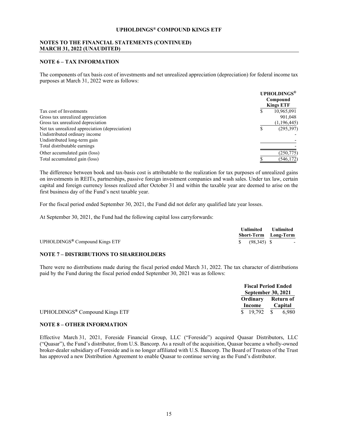#### **NOTES TO THE FINANCIAL STATEMENTS (CONTINUED) MARCH 31, 2022 (UNAUDITED)**

#### **NOTE 6 – TAX INFORMATION**

The components of tax basis cost of investments and net unrealized appreciation (depreciation) for federal income tax purposes at March 31, 2022 were as follows:

|                                                | <b>UPHOLDINGS®</b><br>Compound<br><b>Kings ETF</b> |
|------------------------------------------------|----------------------------------------------------|
| Tax cost of Investments                        | 10,965,091<br>ъ                                    |
| Gross tax unrealized appreciation              | 901,048                                            |
| Gross tax unrealized depreciation              | (1, 196, 445)                                      |
| Net tax unrealized appreciation (depreciation) | (295, 397)<br>S                                    |
| Undistributed ordinary income                  |                                                    |
| Undistributed long-term gain                   |                                                    |
| Total distributable earnings                   |                                                    |
| Other accumulated gain (loss)                  | (250,775)                                          |
| Total accumulated gain (loss)                  | (546, 172)                                         |

The difference between book and tax-basis cost is attributable to the realization for tax purposes of unrealized gains on investments in REITs, partnerships, passive foreign investment companies and wash sales. Under tax law, certain capital and foreign currency losses realized after October 31 and within the taxable year are deemed to arise on the first business day of the Fund's next taxable year.

For the fiscal period ended September 30, 2021, the Fund did not defer any qualified late year losses.

At September 30, 2021, the Fund had the following capital loss carryforwards:

|                                            |                           | Unlimited Unlimited<br><b>Short-Term</b> Long-Term |
|--------------------------------------------|---------------------------|----------------------------------------------------|
| UPHOLDINGS <sup>®</sup> Compound Kings ETF | $\frac{1}{2}$ (98,345) \$ | $\sim$ $-$                                         |

#### **NOTE 7 – DISTRIBUTIONS TO SHAREHOLDERS**

There were no distributions made during the fiscal period ended March 31, 2022. The tax character of distributions paid by the Fund during the fiscal period ended September 30, 2021 was as follows:

|                                            |          | <b>Fiscal Period Ended</b><br><b>September 30, 2021</b><br>Ordinary Return of |         |
|--------------------------------------------|----------|-------------------------------------------------------------------------------|---------|
|                                            |          |                                                                               |         |
|                                            |          |                                                                               |         |
|                                            | Income   |                                                                               | Capital |
| UPHOLDINGS <sup>®</sup> Compound Kings ETF | \$19.792 | - \$                                                                          | 6.980   |

#### **NOTE 8 – OTHER INFORMATION**

Effective March 31, 2021, Foreside Financial Group, LLC ("Foreside") acquired Quasar Distributors, LLC ("Quasar"), the Fund's distributor, from U.S. Bancorp. As a result of the acquisition, Quasar became a wholly-owned broker-dealer subsidiary of Foreside and is no longer affiliated with U.S. Bancorp. The Board of Trustees of the Trust has approved a new Distribution Agreement to enable Quasar to continue serving as the Fund's distributor.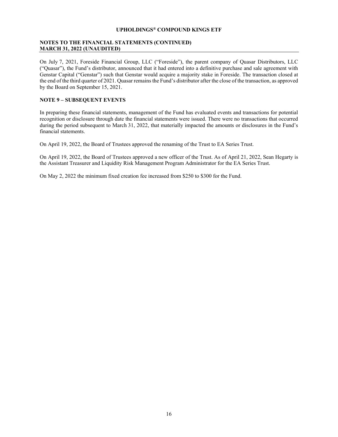#### **NOTES TO THE FINANCIAL STATEMENTS (CONTINUED) MARCH 31, 2022 (UNAUDITED)**

On July 7, 2021, Foreside Financial Group, LLC ("Foreside"), the parent company of Quasar Distributors, LLC ("Quasar"), the Fund's distributor, announced that it had entered into a definitive purchase and sale agreement with Genstar Capital ("Genstar") such that Genstar would acquire a majority stake in Foreside. The transaction closed at the end of the third quarter of 2021. Quasar remains the Fund's distributor after the close of the transaction, as approved by the Board on September 15, 2021.

#### **NOTE 9 – SUBSEQUENT EVENTS**

In preparing these financial statements, management of the Fund has evaluated events and transactions for potential recognition or disclosure through date the financial statements were issued. There were no transactions that occurred during the period subsequent to March 31, 2022, that materially impacted the amounts or disclosures in the Fund's financial statements.

On April 19, 2022, the Board of Trustees approved the renaming of the Trust to EA Series Trust.

On April 19, 2022, the Board of Trustees approved a new officer of the Trust. As of April 21, 2022, Sean Hegarty is the Assistant Treasurer and Liquidity Risk Management Program Administrator for the EA Series Trust.

On May 2, 2022 the minimum fixed creation fee increased from \$250 to \$300 for the Fund.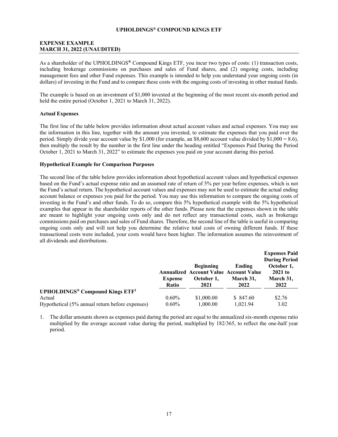#### <span id="page-18-0"></span>**EXPENSE EXAMPLE MARCH 31, 2022 (UNAUDITED)**

As a shareholder of the UPHOLDINGS**®** Compound Kings ETF, you incur two types of costs: (1) transaction costs, including brokerage commissions on purchases and sales of Fund shares, and (2) ongoing costs, including management fees and other Fund expenses. This example is intended to help you understand your ongoing costs (in dollars) of investing in the Fund and to compare these costs with the ongoing costs of investing in other mutual funds.

The example is based on an investment of \$1,000 invested at the beginning of the most recent six-month period and held the entire period (October 1, 2021 to March 31, 2022).

#### **Actual Expenses**

The first line of the table below provides information about actual account values and actual expenses. You may use the information in this line, together with the amount you invested, to estimate the expenses that you paid over the period. Simply divide your account value by  $$1,000$  (for example, an  $$8,600$  account value divided by  $$1,000 = 8.6$ ), then multiply the result by the number in the first line under the heading entitled "Expenses Paid During the Period October 1, 2021 to March 31, 2022" to estimate the expenses you paid on your account during this period.

#### **Hypothetical Example for Comparison Purposes**

The second line of the table below provides information about hypothetical account values and hypothetical expenses based on the Fund's actual expense ratio and an assumed rate of return of 5% per year before expenses, which is not the Fund's actual return. The hypothetical account values and expenses may not be used to estimate the actual ending account balance or expenses you paid for the period. You may use this information to compare the ongoing costs of investing in the Fund's and other funds. To do so, compare this 5% hypothetical example with the 5% hypothetical examples that appear in the shareholder reports of the other funds. Please note that the expenses shown in the table are meant to highlight your ongoing costs only and do not reflect any transactional costs, such as brokerage commissions paid on purchases and sales of Fund shares. Therefore, the second line of the table is useful in comparing ongoing costs only and will not help you determine the relative total costs of owning different funds. If these transactional costs were included, your costs would have been higher. The information assumes the reinvestment of all dividends and distributions.

|                                                              |                  |                                                                                         |                             | <b>Expenses Paid</b><br><b>During Period</b> |
|--------------------------------------------------------------|------------------|-----------------------------------------------------------------------------------------|-----------------------------|----------------------------------------------|
|                                                              | Expense<br>Ratio | <b>Beginning</b><br><b>Annualized Account Value Account Value</b><br>October 1,<br>2021 | Ending<br>March 31.<br>2022 | October 1,<br>$2021$ to<br>March 31,<br>2022 |
| <b>UPHOLDINGS<sup>®</sup> Compound Kings ETF<sup>1</sup></b> |                  |                                                                                         |                             |                                              |
| Actual                                                       | $0.60\%$         | \$1,000.00                                                                              | \$ 847.60                   | \$2.76                                       |
| Hypothetical (5% annual return before expenses)              | $0.60\%$         | 1,000.00                                                                                | 1.021.94                    | 3.02                                         |

1. The dollar amounts shown as expenses paid during the period are equal to the annualized six-month expense ratio multiplied by the average account value during the period, multiplied by 182/365, to reflect the one-half year period.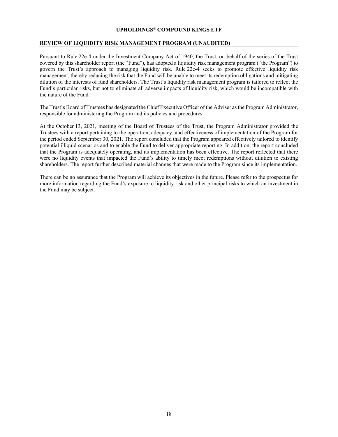#### <span id="page-19-0"></span>**REVIEW OF LIQUIDITY RISK MANAGEMENT PROGRAM (UNAUDITED)**

Pursuant to Rule 22e-4 under the Investment Company Act of 1940, the Trust, on behalf of the series of the Trust covered by this shareholder report (the "Fund"), has adopted a liquidity risk management program ("the Program") to govern the Trust's approach to managing liquidity risk. Rule 22e-4 seeks to promote effective liquidity risk management, thereby reducing the risk that the Fund will be unable to meet its redemption obligations and mitigating dilution of the interests of fund shareholders. The Trust's liquidity risk management program is tailored to reflect the Fund's particular risks, but not to eliminate all adverse impacts of liquidity risk, which would be incompatible with the nature of the Fund.

The Trust's Board of Trustees has designated the Chief Executive Officer of the Adviser as the Program Administrator, responsible for administering the Program and its policies and procedures.

At the October 13, 2021, meeting of the Board of Trustees of the Trust, the Program Administrator provided the Trustees with a report pertaining to the operation, adequacy, and effectiveness of implementation of the Program for the period ended September 30, 2021. The report concluded that the Program appeared effectively tailored to identify potential illiquid scenarios and to enable the Fund to deliver appropriate reporting. In addition, the report concluded that the Program is adequately operating, and its implementation has been effective. The report reflected that there were no liquidity events that impacted the Fund's ability to timely meet redemptions without dilution to existing shareholders. The report further described material changes that were made to the Program since its implementation.

There can be no assurance that the Program will achieve its objectives in the future. Please refer to the prospectus for more information regarding the Fund's exposure to liquidity risk and other principal risks to which an investment in the Fund may be subject.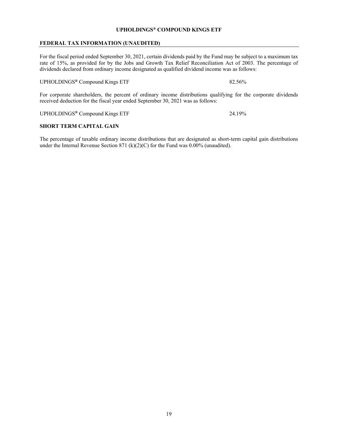#### <span id="page-20-0"></span>**FEDERAL TAX INFORMATION (UNAUDITED)**

For the fiscal period ended September 30, 2021, certain dividends paid by the Fund may be subject to a maximum tax rate of 15%, as provided for by the Jobs and Growth Tax Relief Reconciliation Act of 2003. The percentage of dividends declared from ordinary income designated as qualified dividend income was as follows:

UPHOLDINGS<sup>®</sup> Compound Kings ETF 82.56%

For corporate shareholders, the percent of ordinary income distributions qualifying for the corporate dividends received deduction for the fiscal year ended September 30, 2021 was as follows:

UPHOLDINGS**®** Compound Kings ETF 24.19%

#### **SHORT TERM CAPITAL GAIN**

The percentage of taxable ordinary income distributions that are designated as short-term capital gain distributions under the Internal Revenue Section 871 (k)(2)(C) for the Fund was 0.00% (unaudited).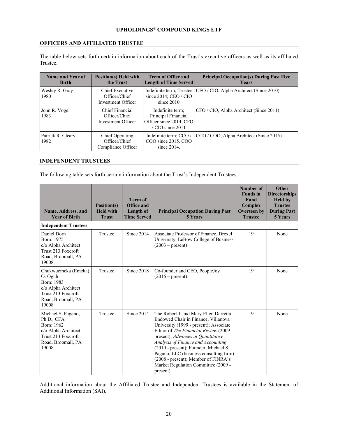#### <span id="page-21-0"></span>**OFFICERS AND AFFILIATED TRUSTEE**

The table below sets forth certain information about each of the Trust's executive officers as well as its affiliated Trustee.

| Name and Year of<br><b>Birth</b> | <b>Position(s) Held with</b><br>the Trust              | <b>Term of Office and</b><br><b>Length of Time Served</b>                                | <b>Principal Occupation(s) During Past Five</b><br><b>Years</b>  |
|----------------------------------|--------------------------------------------------------|------------------------------------------------------------------------------------------|------------------------------------------------------------------|
| Wesley R. Gray<br>1980           | Chief Executive<br>Officer/Chief<br>Investment Officer | since $2014$ ; CEO / CIO<br>since $2010$                                                 | Indefinite term; Trustee CEO / CIO, Alpha Architect (Since 2010) |
| John R. Vogel<br>1983            | Chief Financial<br>Officer/Chief<br>Investment Officer | Indefinite term;<br>Principal Financial<br>Officer since 2014, CFO<br>$/$ CIO since 2011 | CFO / CIO, Alpha Architect (Since 2011)                          |
| Patrick R. Cleary<br>1982        | Chief Operating<br>Officer/Chief<br>Compliance Officer | Indefinite term; CCO /<br>COO since 2015, COO<br>since $2014$ .                          | CCO / COO, Alpha Architect (Since 2015)                          |

#### <span id="page-21-1"></span>**INDEPENDENT TRUSTEES**

The following table sets forth certain information about the Trust's Independent Trustees.

| Name, Address, and<br><b>Year of Birth</b>                                                                                 | Position(s)<br><b>Held with</b><br><b>Trust</b> | <b>Term of</b><br>Office and<br>Length of<br><b>Time Served</b> | <b>Principal Occupation During Past</b><br><b>5 Years</b>                                                                                                                                                                                                                                                                                                                                                                 | Number of<br><b>Funds</b> in<br><b>Fund</b><br>Complex<br><b>Overseen</b> by<br><b>Trustee</b> | <b>Other</b><br><b>Directorships</b><br><b>Held by</b><br><b>Trustee</b><br><b>During Past</b><br>5 Years |
|----------------------------------------------------------------------------------------------------------------------------|-------------------------------------------------|-----------------------------------------------------------------|---------------------------------------------------------------------------------------------------------------------------------------------------------------------------------------------------------------------------------------------------------------------------------------------------------------------------------------------------------------------------------------------------------------------------|------------------------------------------------------------------------------------------------|-----------------------------------------------------------------------------------------------------------|
| <b>Independent Trustees</b>                                                                                                |                                                 |                                                                 |                                                                                                                                                                                                                                                                                                                                                                                                                           |                                                                                                |                                                                                                           |
| Daniel Dorn<br>Born: 1975<br>c/o Alpha Architect<br>Trust 213 Foxcroft<br>Road, Broomall, PA<br>19008                      | Trustee                                         | Since 2014                                                      | Associate Professor of Finance, Drexel<br>University, LeBow College of Business<br>$(2003 - present)$                                                                                                                                                                                                                                                                                                                     | 19                                                                                             | None                                                                                                      |
| Chukwuemeka (Emeka)<br>O. Oguh<br>Born: 1983<br>c/o Alpha Architect<br>Trust 213 Foxcroft<br>Road, Broomall, PA<br>19008   | Trustee                                         | Since 2018                                                      | Co-founder and CEO, PeopleJoy<br>$(2016 - present)$                                                                                                                                                                                                                                                                                                                                                                       | 19                                                                                             | None                                                                                                      |
| Michael S. Pagano,<br>Ph.D., CFA<br>Born: 1962<br>c/o Alpha Architect<br>Trust 213 Foxcroft<br>Road, Broomall, PA<br>19008 | Trustee                                         | Since 2014                                                      | The Robert J. and Mary Ellen Darretta<br>Endowed Chair in Finance, Villanova<br>University (1999 - present); Associate<br>Editor of The Financial Review (2009 -<br>present); Advances in Quantitative<br>Analysis of Finance and Accounting<br>(2010 - present); Founder, Michael S.<br>Pagano, LLC (business consulting firm)<br>(2008 - present); Member of FINRA's<br>Market Regulation Committee (2009 -<br>present) | 19                                                                                             | None                                                                                                      |

Additional information about the Affiliated Trustee and Independent Trustees is available in the Statement of Additional Information (SAI).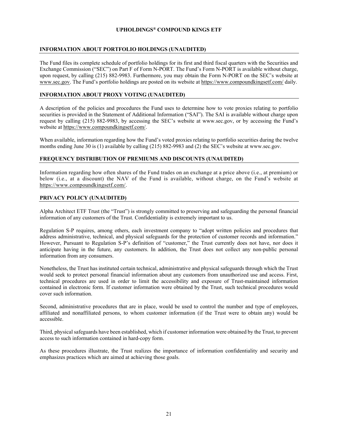#### <span id="page-22-0"></span>**INFORMATION ABOUT PORTFOLIO HOLDINGS (UNAUDITED)**

The Fund files its complete schedule of portfolio holdings for its first and third fiscal quarters with the Securities and Exchange Commission ("SEC") on Part F of Form N-PORT. The Fund's Form N-PORT is available without charge, upon request, by calling (215) 882-9983. Furthermore, you may obtain the Form N-PORT on the SEC's website at www.sec.gov. The Fund's portfolio holdings are posted on its website at https://www.compoundkingsetf.com/ daily.

#### <span id="page-22-1"></span>**INFORMATION ABOUT PROXY VOTING (UNAUDITED)**

A description of the policies and procedures the Fund uses to determine how to vote proxies relating to portfolio securities is provided in the Statement of Additional Information ("SAI"). The SAI is available without charge upon request by calling (215) 882-9983, by accessing the SEC's website at www.sec.gov, or by accessing the Fund's website at https://www.compoundkingsetf.com/.

When available, information regarding how the Fund's voted proxies relating to portfolio securities during the twelve months ending June 30 is (1) available by calling (215) 882-9983 and (2) the SEC's website at www.sec.gov.

#### **FREQUENCY DISTRIBUTION OF PREMIUMS AND DISCOUNTS (UNAUDITED)**

Information regarding how often shares of the Fund trades on an exchange at a price above (i.e., at premium) or below (i.e., at a discount) the NAV of the Fund is available, without charge, on the Fund's website at https://www.compoundkingsetf.com/.

#### <span id="page-22-2"></span>**PRIVACY POLICY (UNAUDITED)**

Alpha Architect ETF Trust (the "Trust") is strongly committed to preserving and safeguarding the personal financial information of any customers of the Trust. Confidentiality is extremely important to us.

Regulation S-P requires, among others, each investment company to "adopt written policies and procedures that address administrative, technical, and physical safeguards for the protection of customer records and information." However, Pursuant to Regulation S-P's definition of "customer," the Trust currently does not have, nor does it anticipate having in the future, any customers. In addition, the Trust does not collect any non-public personal information from any consumers.

Nonetheless, the Trust has instituted certain technical, administrative and physical safeguards through which the Trust would seek to protect personal financial information about any customers from unauthorized use and access. First, technical procedures are used in order to limit the accessibility and exposure of Trust-maintained information contained in electronic form. If customer information were obtained by the Trust, such technical procedures would cover such information.

Second, administrative procedures that are in place, would be used to control the number and type of employees, affiliated and nonaffiliated persons, to whom customer information (if the Trust were to obtain any) would be accessible.

Third, physical safeguards have been established, which if customer information were obtained by the Trust, to prevent access to such information contained in hard-copy form.

As these procedures illustrate, the Trust realizes the importance of information confidentiality and security and emphasizes practices which are aimed at achieving those goals.